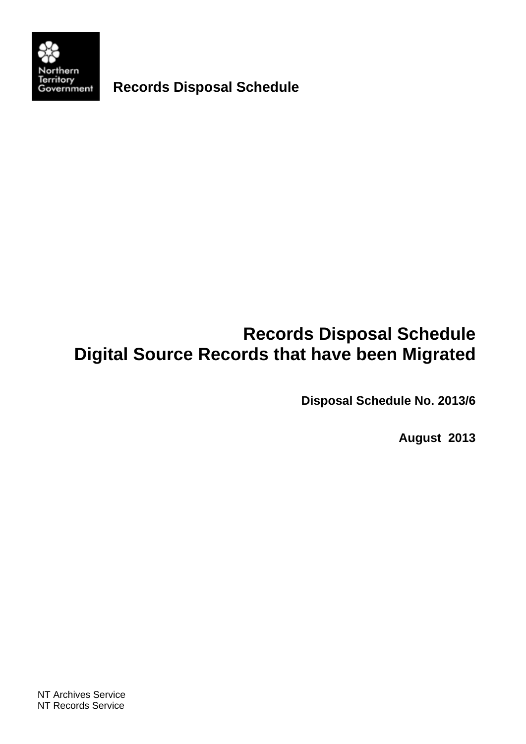

**Records Disposal Schedule** 

# **Records Disposal Schedule Digital Source Records that have been Migrated**

**Disposal Schedule No. 2013/6** 

**August 2013**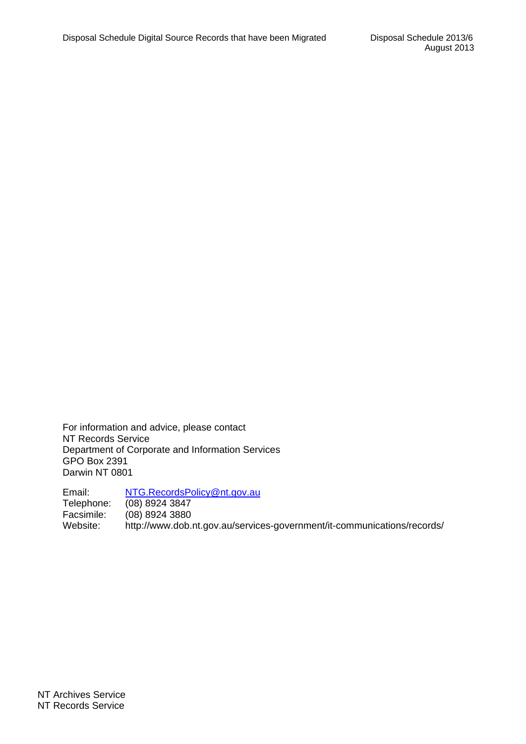For information and advice, please contact NT Records Service Department of Corporate and Information Services GPO Box 2391 Darwin NT 0801

Email: NTG.RecordsPolicy@nt.gov.au Telephone: (08) 8924 3847 Facsimile: (08) 8924 3880 Website: http://www.dob.nt.gov.au/services-government/it-communications/records/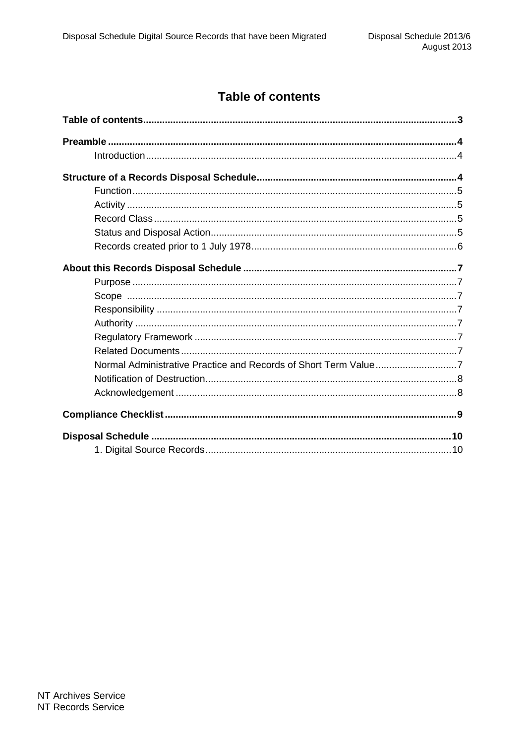## **Table of contents**

| Normal Administrative Practice and Records of Short Term Value7 |  |  |  |  |
|-----------------------------------------------------------------|--|--|--|--|
|                                                                 |  |  |  |  |
|                                                                 |  |  |  |  |
|                                                                 |  |  |  |  |
|                                                                 |  |  |  |  |
|                                                                 |  |  |  |  |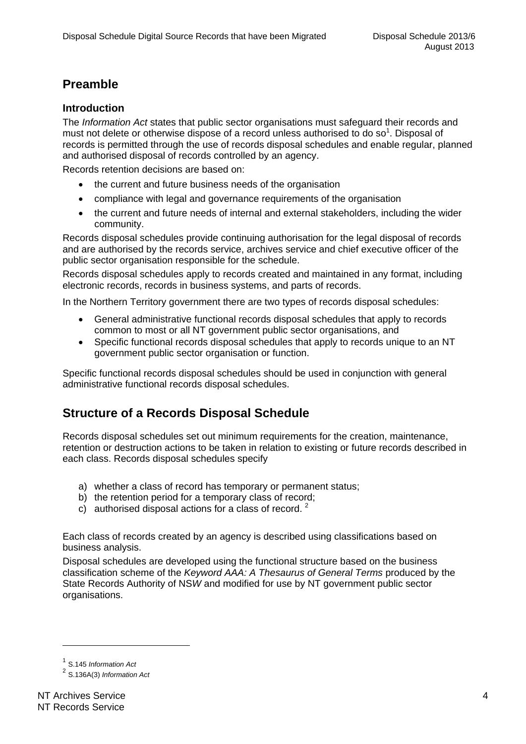## **Preamble**

#### **Introduction**

The *Information Act* states that public sector organisations must safeguard their records and must not delete or otherwise dispose of a record unless authorised to do so<sup>1</sup>. Disposal of records is permitted through the use of records disposal schedules and enable regular, planned and authorised disposal of records controlled by an agency.

Records retention decisions are based on:

- the current and future business needs of the organisation
- compliance with legal and governance requirements of the organisation
- the current and future needs of internal and external stakeholders, including the wider community.

Records disposal schedules provide continuing authorisation for the legal disposal of records and are authorised by the records service, archives service and chief executive officer of the public sector organisation responsible for the schedule.

Records disposal schedules apply to records created and maintained in any format, including electronic records, records in business systems, and parts of records.

In the Northern Territory government there are two types of records disposal schedules:

- General administrative functional records disposal schedules that apply to records common to most or all NT government public sector organisations, and
- Specific functional records disposal schedules that apply to records unique to an NT government public sector organisation or function.

Specific functional records disposal schedules should be used in conjunction with general administrative functional records disposal schedules.

## **Structure of a Records Disposal Schedule**

Records disposal schedules set out minimum requirements for the creation, maintenance, retention or destruction actions to be taken in relation to existing or future records described in each class. Records disposal schedules specify

- a) whether a class of record has temporary or permanent status;
- b) the retention period for a temporary class of record;
- c) authorised disposal actions for a class of record.  $2^2$

Each class of records created by an agency is described using classifications based on business analysis.

Disposal schedules are developed using the functional structure based on the business classification scheme of the *Keyword AAA: A Thesaurus of General Terms* produced by the State Records Authority of NS*W* and modified for use by NT government public sector organisations.

 $\overline{a}$ 

<sup>1</sup> S.145 *Information Act*

<sup>2</sup> S.136A(3) *Information Act*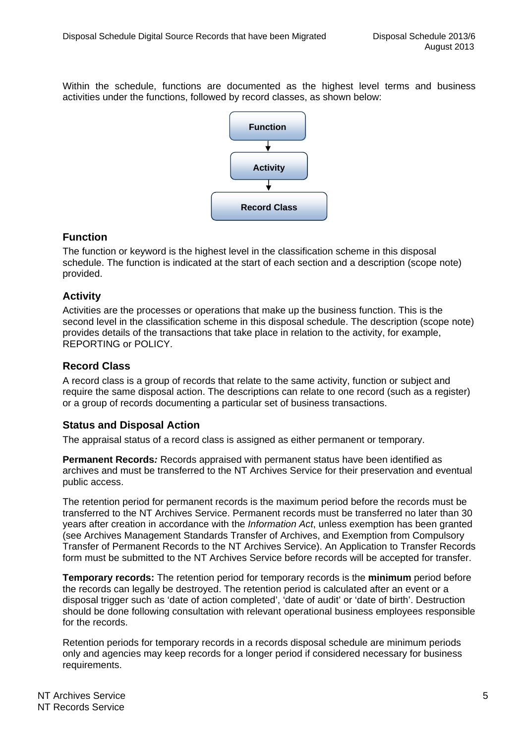Within the schedule, functions are documented as the highest level terms and business activities under the functions, followed by record classes, as shown below:



#### **Function**

The function or keyword is the highest level in the classification scheme in this disposal schedule. The function is indicated at the start of each section and a description (scope note) provided.

#### **Activity**

Activities are the processes or operations that make up the business function. This is the second level in the classification scheme in this disposal schedule. The description (scope note) provides details of the transactions that take place in relation to the activity, for example, REPORTING or POLICY.

### **Record Class**

A record class is a group of records that relate to the same activity, function or subject and require the same disposal action. The descriptions can relate to one record (such as a register) or a group of records documenting a particular set of business transactions.

#### **Status and Disposal Action**

The appraisal status of a record class is assigned as either permanent or temporary.

**Permanent Records***:* Records appraised with permanent status have been identified as archives and must be transferred to the NT Archives Service for their preservation and eventual public access.

The retention period for permanent records is the maximum period before the records must be transferred to the NT Archives Service. Permanent records must be transferred no later than 30 years after creation in accordance with the *Information Act*, unless exemption has been granted (see Archives Management Standards Transfer of Archives, and Exemption from Compulsory Transfer of Permanent Records to the NT Archives Service). An Application to Transfer Records form must be submitted to the NT Archives Service before records will be accepted for transfer.

**Temporary records:** The retention period for temporary records is the **minimum** period before the records can legally be destroyed. The retention period is calculated after an event or a disposal trigger such as 'date of action completed', 'date of audit' or 'date of birth'. Destruction should be done following consultation with relevant operational business employees responsible for the records.

Retention periods for temporary records in a records disposal schedule are minimum periods only and agencies may keep records for a longer period if considered necessary for business requirements.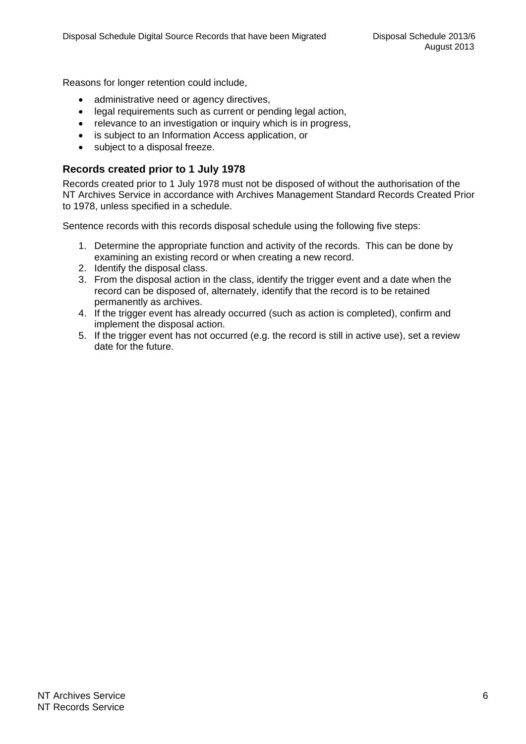Reasons for longer retention could include,

- administrative need or agency directives,
- legal requirements such as current or pending legal action,
- relevance to an investigation or inquiry which is in progress,
- is subject to an Information Access application, or
- subject to a disposal freeze.

#### **Records created prior to 1 July 1978**

Records created prior to 1 July 1978 must not be disposed of without the authorisation of the NT Archives Service in accordance with Archives Management Standard Records Created Prior to 1978, unless specified in a schedule.

Sentence records with this records disposal schedule using the following five steps:

- 1. Determine the appropriate function and activity of the records. This can be done by examining an existing record or when creating a new record.
- 2. Identify the disposal class.
- 3. From the disposal action in the class, identify the trigger event and a date when the record can be disposed of, alternately, identify that the record is to be retained permanently as archives.
- 4. If the trigger event has already occurred (such as action is completed), confirm and implement the disposal action.
- 5. If the trigger event has not occurred (e.g. the record is still in active use), set a review date for the future.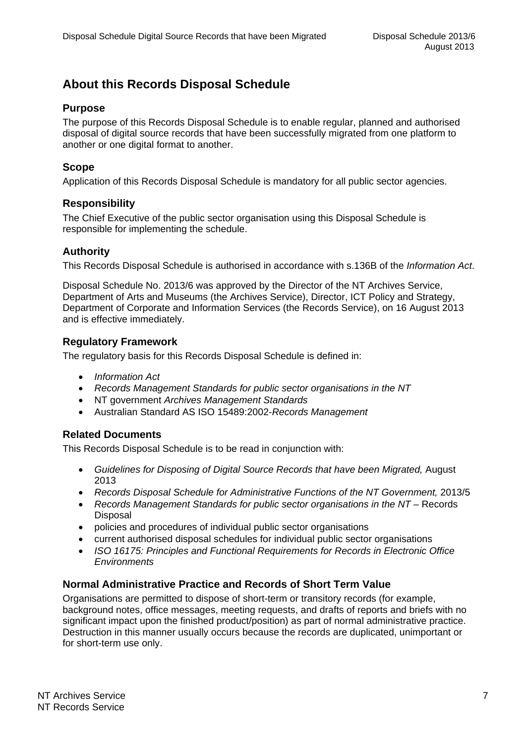## **About this Records Disposal Schedule**

#### **Purpose**

The purpose of this Records Disposal Schedule is to enable regular, planned and authorised disposal of digital source records that have been successfully migrated from one platform to another or one digital format to another.

#### **Scope**

Application of this Records Disposal Schedule is mandatory for all public sector agencies.

#### **Responsibility**

The Chief Executive of the public sector organisation using this Disposal Schedule is responsible for implementing the schedule.

#### **Authority**

This Records Disposal Schedule is authorised in accordance with s.136B of the *Information Act*.

Disposal Schedule No. 2013/6 was approved by the Director of the NT Archives Service, Department of Arts and Museums (the Archives Service), Director, ICT Policy and Strategy, Department of Corporate and Information Services (the Records Service), on 16 August 2013 and is effective immediately.

#### **Regulatory Framework**

The regulatory basis for this Records Disposal Schedule is defined in:

- *Information Act*
- *Records Management Standards for public sector organisations in the NT*
- NT government *Archives Management Standards*
- Australian Standard AS ISO 15489:2002-*Records Management*

#### **Related Documents**

This Records Disposal Schedule is to be read in conjunction with:

- *Guidelines for Disposing of Digital Source Records that have been Migrated,* August 2013
- *Records Disposal Schedule for Administrative Functions of the NT Government,* 2013/5
- *Records Management Standards for public sector organisations in the NT* Records Disposal
- policies and procedures of individual public sector organisations
- current authorised disposal schedules for individual public sector organisations
- *ISO 16175: Principles and Functional Requirements for Records in Electronic Office Environments*

#### **Normal Administrative Practice and Records of Short Term Value**

Organisations are permitted to dispose of short-term or transitory records (for example, background notes, office messages, meeting requests, and drafts of reports and briefs with no significant impact upon the finished product/position) as part of normal administrative practice. Destruction in this manner usually occurs because the records are duplicated, unimportant or for short-term use only.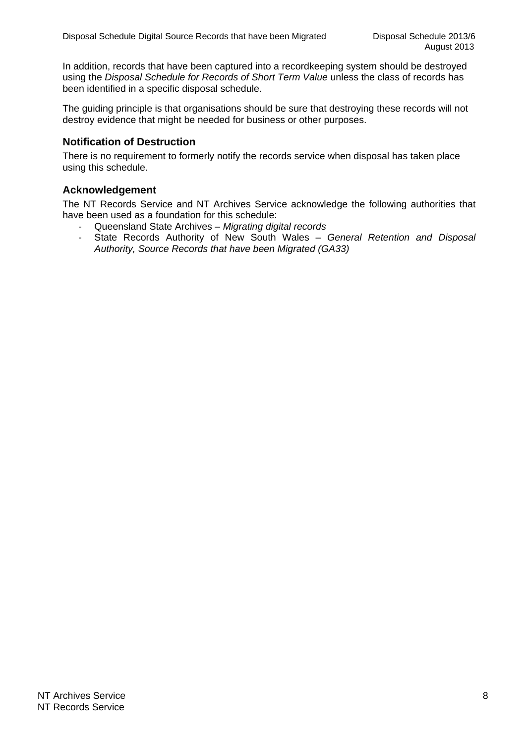In addition, records that have been captured into a recordkeeping system should be destroyed using the *Disposal Schedule for Records of Short Term Value* unless the class of records has been identified in a specific disposal schedule.

The guiding principle is that organisations should be sure that destroying these records will not destroy evidence that might be needed for business or other purposes.

#### **Notification of Destruction**

There is no requirement to formerly notify the records service when disposal has taken place using this schedule.

#### **Acknowledgement**

The NT Records Service and NT Archives Service acknowledge the following authorities that have been used as a foundation for this schedule:

- Queensland State Archives *Migrating digital records*
- State Records Authority of New South Wales *General Retention and Disposal Authority, Source Records that have been Migrated (GA33)*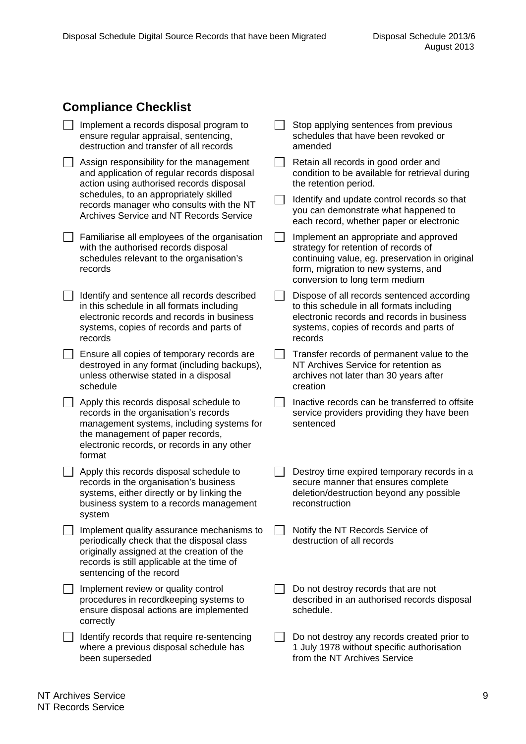## **Compliance Checklist**

| Implement a records disposal program to<br>ensure regular appraisal, sentencing,<br>destruction and transfer of all records                                                                                                                                                 | Stop applying sentences from previous<br>schedules that have been revoked or<br>amended                                                                                                                  |
|-----------------------------------------------------------------------------------------------------------------------------------------------------------------------------------------------------------------------------------------------------------------------------|----------------------------------------------------------------------------------------------------------------------------------------------------------------------------------------------------------|
| Assign responsibility for the management<br>and application of regular records disposal<br>action using authorised records disposal<br>schedules, to an appropriately skilled<br>records manager who consults with the NT<br><b>Archives Service and NT Records Service</b> | Retain all records in good order and<br>condition to be available for retrieval during<br>the retention period.                                                                                          |
|                                                                                                                                                                                                                                                                             | Identify and update control records so that<br>you can demonstrate what happened to<br>each record, whether paper or electronic                                                                          |
| Familiarise all employees of the organisation<br>with the authorised records disposal<br>schedules relevant to the organisation's<br>records                                                                                                                                | Implement an appropriate and approved<br>strategy for retention of records of<br>continuing value, eg. preservation in original<br>form, migration to new systems, and<br>conversion to long term medium |
| Identify and sentence all records described<br>in this schedule in all formats including<br>electronic records and records in business<br>systems, copies of records and parts of<br>records                                                                                | Dispose of all records sentenced according<br>to this schedule in all formats including<br>electronic records and records in business<br>systems, copies of records and parts of<br>records              |
| Ensure all copies of temporary records are<br>destroyed in any format (including backups),<br>unless otherwise stated in a disposal<br>schedule                                                                                                                             | Transfer records of permanent value to the<br>NT Archives Service for retention as<br>archives not later than 30 years after<br>creation                                                                 |
| Apply this records disposal schedule to<br>records in the organisation's records<br>management systems, including systems for<br>the management of paper records,<br>electronic records, or records in any other<br>format                                                  | Inactive records can be transferred to offsite<br>service providers providing they have been<br>sentenced                                                                                                |
| Apply this records disposal schedule to<br>records in the organisation's business<br>systems, either directly or by linking the<br>business system to a records management<br>system                                                                                        | Destroy time expired temporary records in a<br>secure manner that ensures complete<br>deletion/destruction beyond any possible<br>reconstruction                                                         |
| Implement quality assurance mechanisms to<br>periodically check that the disposal class<br>originally assigned at the creation of the<br>records is still applicable at the time of<br>sentencing of the record                                                             | Notify the NT Records Service of<br>destruction of all records                                                                                                                                           |
| Implement review or quality control<br>procedures in recordkeeping systems to<br>ensure disposal actions are implemented<br>correctly                                                                                                                                       | Do not destroy records that are not<br>described in an authorised records disposal<br>schedule.                                                                                                          |
| Identify records that require re-sentencing<br>where a previous disposal schedule has<br>been superseded                                                                                                                                                                    | Do not destroy any records created prior to<br>1 July 1978 without specific authorisation<br>from the NT Archives Service                                                                                |